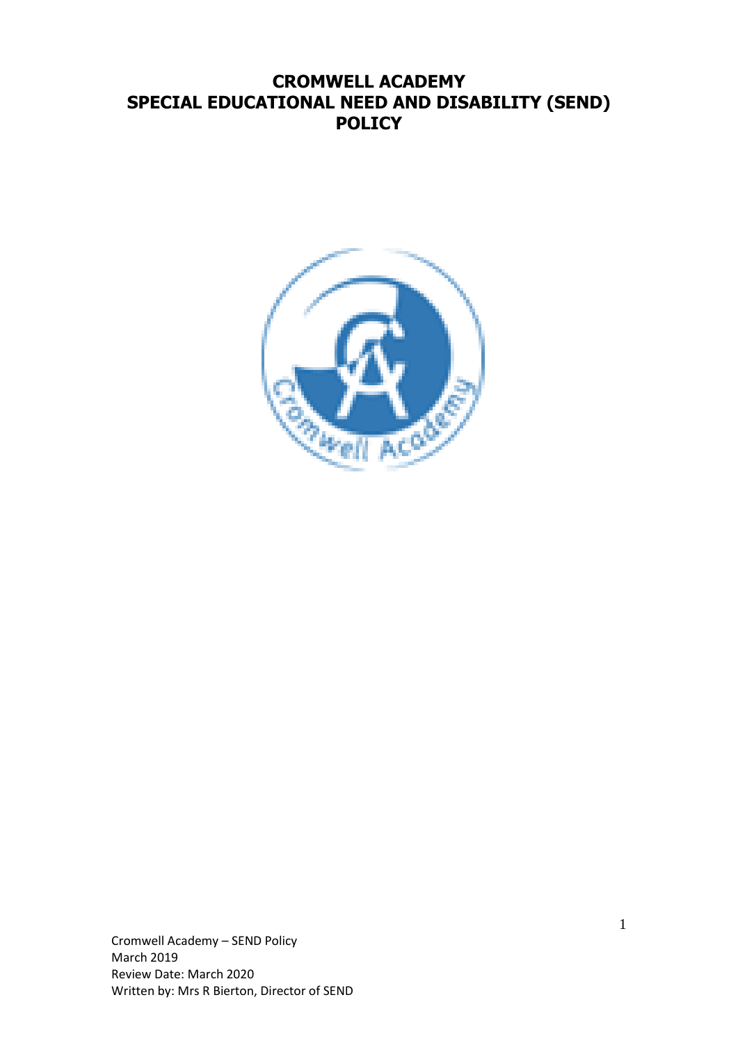# **CROMWELL ACADEMY SPECIAL EDUCATIONAL NEED AND DISABILITY (SEND) POLICY**



Cromwell Academy – SEND Policy March 2019 Review Date: March 2020 Written by: Mrs R Bierton, Director of SEND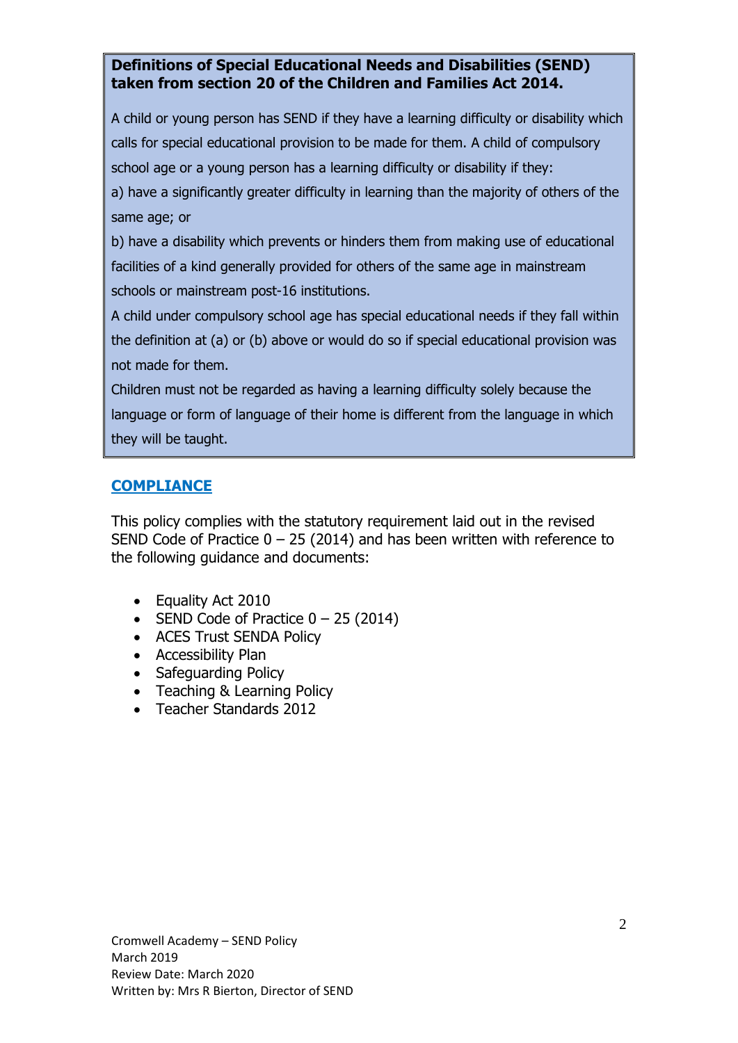## **Definitions of Special Educational Needs and Disabilities (SEND) taken from section 20 of the Children and Families Act 2014.**

A child or young person has SEND if they have a learning difficulty or disability which calls for special educational provision to be made for them. A child of compulsory school age or a young person has a learning difficulty or disability if they: a) have a significantly greater difficulty in learning than the majority of others of the same age; or

b) have a disability which prevents or hinders them from making use of educational facilities of a kind generally provided for others of the same age in mainstream schools or mainstream post-16 institutions.

A child under compulsory school age has special educational needs if they fall within the definition at (a) or (b) above or would do so if special educational provision was not made for them.

Children must not be regarded as having a learning difficulty solely because the language or form of language of their home is different from the language in which they will be taught.

## **COMPLIANCE**

This policy complies with the statutory requirement laid out in the revised SEND Code of Practice  $0 - 25$  (2014) and has been written with reference to the following guidance and documents:

- Equality Act 2010
- SEND Code of Practice  $0 25$  (2014)
- ACES Trust SENDA Policy
- Accessibility Plan
- Safeguarding Policy
- Teaching & Learning Policy
- Teacher Standards 2012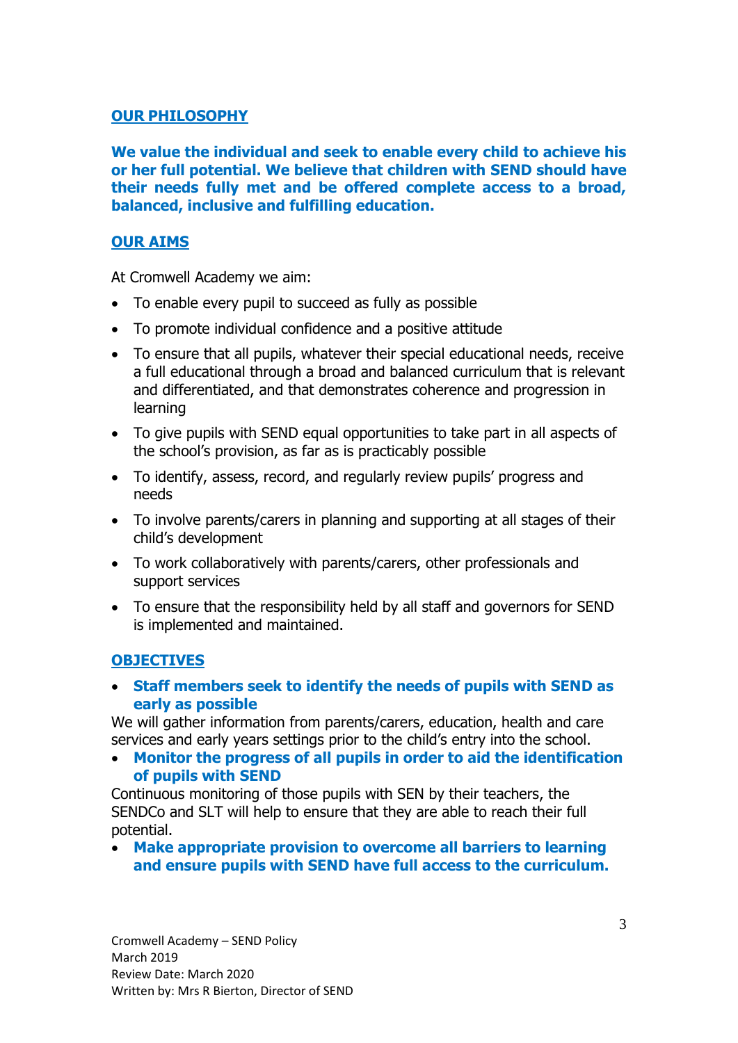## **OUR PHILOSOPHY**

**We value the individual and seek to enable every child to achieve his or her full potential. We believe that children with SEND should have their needs fully met and be offered complete access to a broad, balanced, inclusive and fulfilling education.**

## **OUR AIMS**

At Cromwell Academy we aim:

- To enable every pupil to succeed as fully as possible
- To promote individual confidence and a positive attitude
- To ensure that all pupils, whatever their special educational needs, receive a full educational through a broad and balanced curriculum that is relevant and differentiated, and that demonstrates coherence and progression in learning
- To give pupils with SEND equal opportunities to take part in all aspects of the school's provision, as far as is practicably possible
- To identify, assess, record, and regularly review pupils' progress and needs
- To involve parents/carers in planning and supporting at all stages of their child's development
- To work collaboratively with parents/carers, other professionals and support services
- To ensure that the responsibility held by all staff and governors for SEND is implemented and maintained.

### **OBJECTIVES**

• **Staff members seek to identify the needs of pupils with SEND as early as possible**

We will gather information from parents/carers, education, health and care services and early years settings prior to the child's entry into the school.

• **Monitor the progress of all pupils in order to aid the identification of pupils with SEND**

Continuous monitoring of those pupils with SEN by their teachers, the SENDCo and SLT will help to ensure that they are able to reach their full potential.

• **Make appropriate provision to overcome all barriers to learning and ensure pupils with SEND have full access to the curriculum.**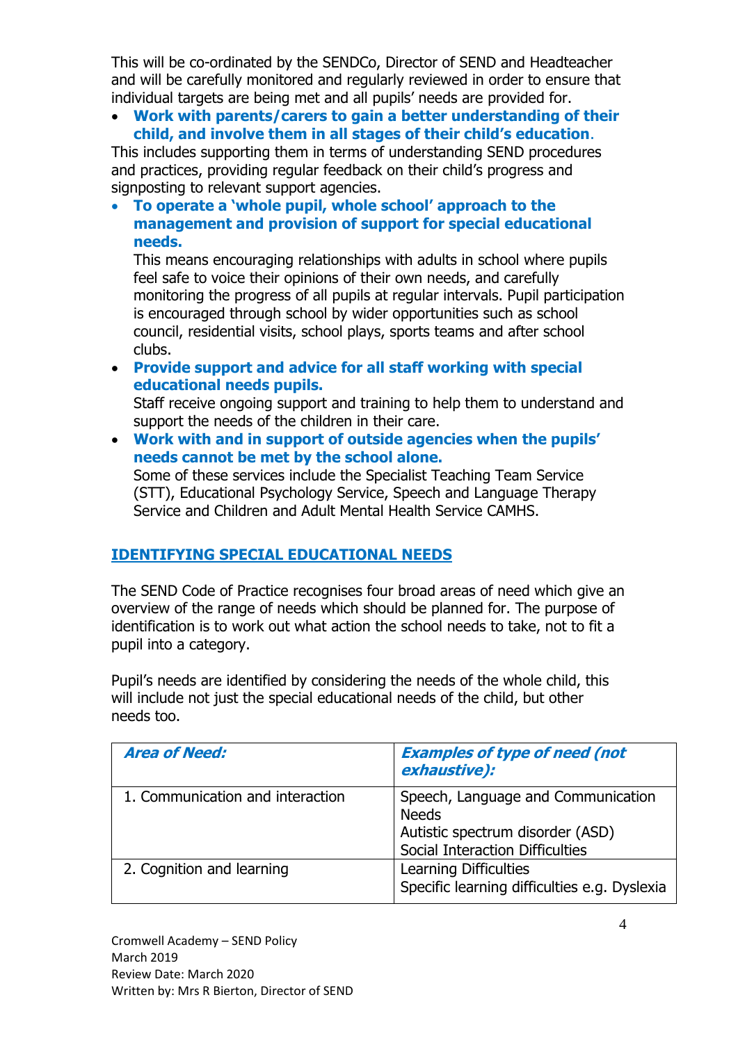This will be co-ordinated by the SENDCo, Director of SEND and Headteacher and will be carefully monitored and regularly reviewed in order to ensure that individual targets are being met and all pupils' needs are provided for.

• **Work with parents/carers to gain a better understanding of their child, and involve them in all stages of their child's education**.

This includes supporting them in terms of understanding SEND procedures and practices, providing regular feedback on their child's progress and signposting to relevant support agencies.

• **To operate a 'whole pupil, whole school' approach to the management and provision of support for special educational needs.**

This means encouraging relationships with adults in school where pupils feel safe to voice their opinions of their own needs, and carefully monitoring the progress of all pupils at regular intervals. Pupil participation is encouraged through school by wider opportunities such as school council, residential visits, school plays, sports teams and after school clubs.

• **Provide support and advice for all staff working with special educational needs pupils.**

Staff receive ongoing support and training to help them to understand and support the needs of the children in their care.

• **Work with and in support of outside agencies when the pupils' needs cannot be met by the school alone.**

Some of these services include the Specialist Teaching Team Service (STT), Educational Psychology Service, Speech and Language Therapy Service and Children and Adult Mental Health Service CAMHS.

## **IDENTIFYING SPECIAL EDUCATIONAL NEEDS**

The SEND Code of Practice recognises four broad areas of need which give an overview of the range of needs which should be planned for. The purpose of identification is to work out what action the school needs to take, not to fit a pupil into a category.

Pupil's needs are identified by considering the needs of the whole child, this will include not just the special educational needs of the child, but other needs too.

| <b>Area of Need:</b>             | <b>Examples of type of need (not</b><br>exhaustive):                                                                             |
|----------------------------------|----------------------------------------------------------------------------------------------------------------------------------|
| 1. Communication and interaction | Speech, Language and Communication<br><b>Needs</b><br>Autistic spectrum disorder (ASD)<br><b>Social Interaction Difficulties</b> |
| 2. Cognition and learning        | Learning Difficulties<br>Specific learning difficulties e.g. Dyslexia                                                            |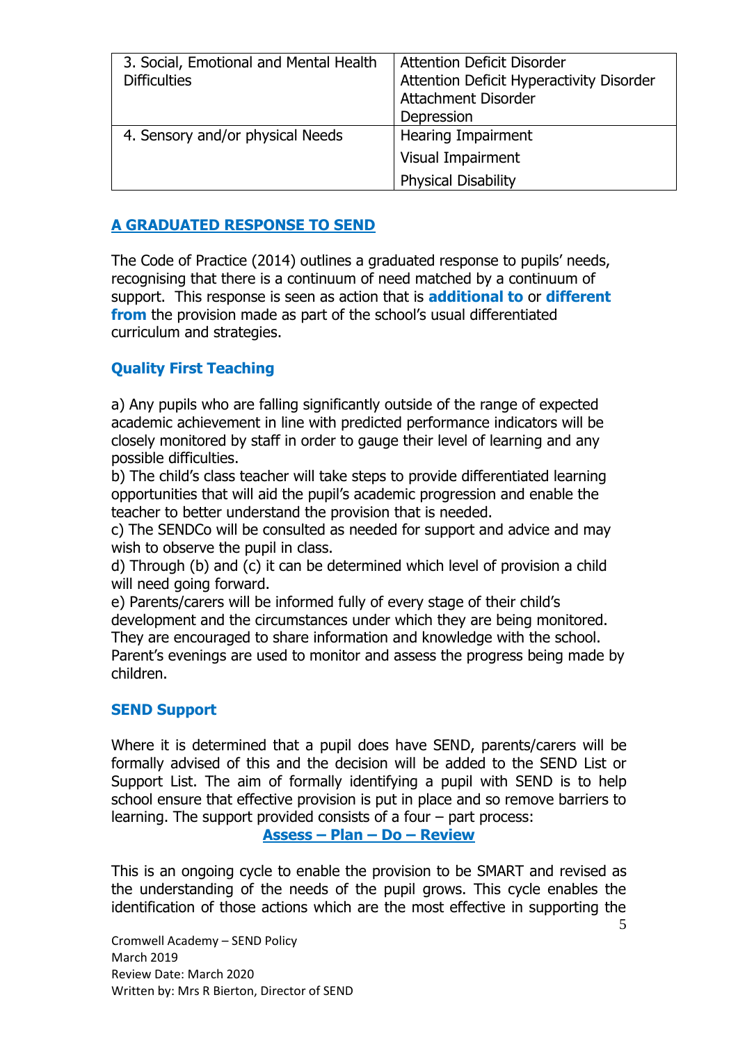| 3. Social, Emotional and Mental Health<br><b>Difficulties</b> | <b>Attention Deficit Disorder</b><br>Attention Deficit Hyperactivity Disorder<br><b>Attachment Disorder</b><br>Depression |
|---------------------------------------------------------------|---------------------------------------------------------------------------------------------------------------------------|
| 4. Sensory and/or physical Needs                              | <b>Hearing Impairment</b>                                                                                                 |
|                                                               | Visual Impairment                                                                                                         |
|                                                               | <b>Physical Disability</b>                                                                                                |

## **A GRADUATED RESPONSE TO SEND**

The Code of Practice (2014) outlines a graduated response to pupils' needs, recognising that there is a continuum of need matched by a continuum of support. This response is seen as action that is **additional to** or **different from** the provision made as part of the school's usual differentiated curriculum and strategies.

## **Quality First Teaching**

a) Any pupils who are falling significantly outside of the range of expected academic achievement in line with predicted performance indicators will be closely monitored by staff in order to gauge their level of learning and any possible difficulties.

b) The child's class teacher will take steps to provide differentiated learning opportunities that will aid the pupil's academic progression and enable the teacher to better understand the provision that is needed.

c) The SENDCo will be consulted as needed for support and advice and may wish to observe the pupil in class.

d) Through (b) and (c) it can be determined which level of provision a child will need going forward.

e) Parents/carers will be informed fully of every stage of their child's development and the circumstances under which they are being monitored. They are encouraged to share information and knowledge with the school. Parent's evenings are used to monitor and assess the progress being made by children.

### **SEND Support**

Where it is determined that a pupil does have SEND, parents/carers will be formally advised of this and the decision will be added to the SEND List or Support List. The aim of formally identifying a pupil with SEND is to help school ensure that effective provision is put in place and so remove barriers to learning. The support provided consists of a four – part process:

**Assess – Plan – Do – Review**

This is an ongoing cycle to enable the provision to be SMART and revised as the understanding of the needs of the pupil grows. This cycle enables the identification of those actions which are the most effective in supporting the

Cromwell Academy – SEND Policy March 2019 Review Date: March 2020 Written by: Mrs R Bierton, Director of SEND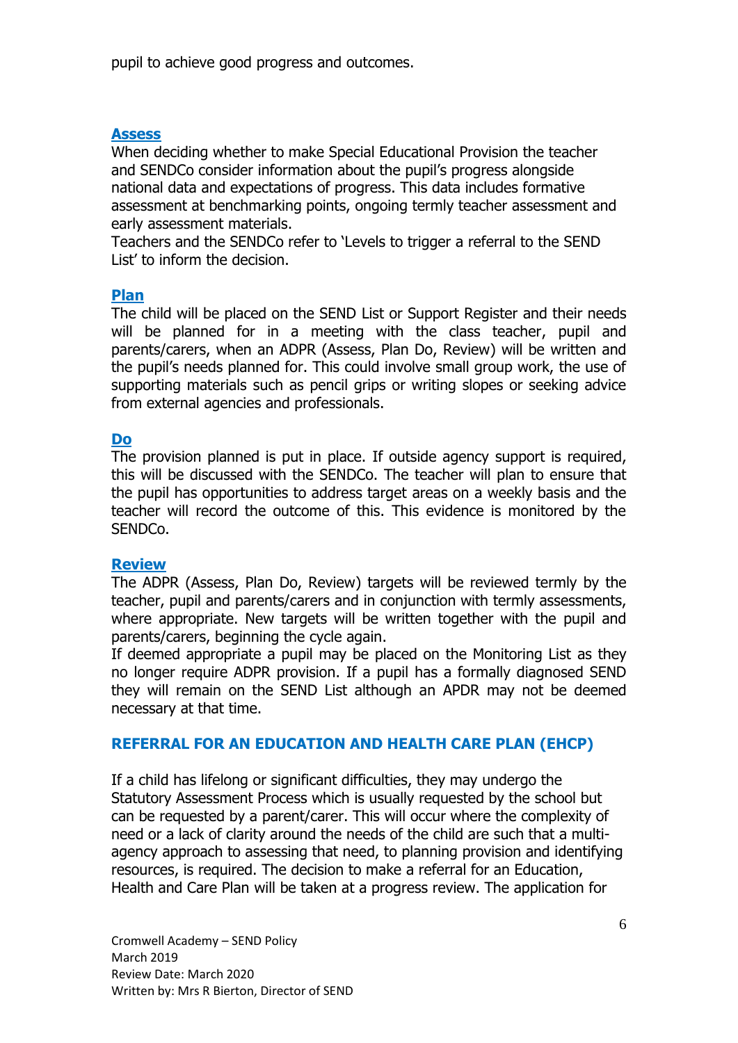pupil to achieve good progress and outcomes.

#### **Assess**

When deciding whether to make Special Educational Provision the teacher and SENDCo consider information about the pupil's progress alongside national data and expectations of progress. This data includes formative assessment at benchmarking points, ongoing termly teacher assessment and early assessment materials.

Teachers and the SENDCo refer to 'Levels to trigger a referral to the SEND List' to inform the decision.

#### **Plan**

The child will be placed on the SEND List or Support Register and their needs will be planned for in a meeting with the class teacher, pupil and parents/carers, when an ADPR (Assess, Plan Do, Review) will be written and the pupil's needs planned for. This could involve small group work, the use of supporting materials such as pencil grips or writing slopes or seeking advice from external agencies and professionals.

#### **Do**

The provision planned is put in place. If outside agency support is required, this will be discussed with the SENDCo. The teacher will plan to ensure that the pupil has opportunities to address target areas on a weekly basis and the teacher will record the outcome of this. This evidence is monitored by the SENDCo.

#### **Review**

The ADPR (Assess, Plan Do, Review) targets will be reviewed termly by the teacher, pupil and parents/carers and in conjunction with termly assessments, where appropriate. New targets will be written together with the pupil and parents/carers, beginning the cycle again.

If deemed appropriate a pupil may be placed on the Monitoring List as they no longer require ADPR provision. If a pupil has a formally diagnosed SEND they will remain on the SEND List although an APDR may not be deemed necessary at that time.

#### **REFERRAL FOR AN EDUCATION AND HEALTH CARE PLAN (EHCP)**

If a child has lifelong or significant difficulties, they may undergo the Statutory Assessment Process which is usually requested by the school but can be requested by a parent/carer. This will occur where the complexity of need or a lack of clarity around the needs of the child are such that a multiagency approach to assessing that need, to planning provision and identifying resources, is required. The decision to make a referral for an Education, Health and Care Plan will be taken at a progress review. The application for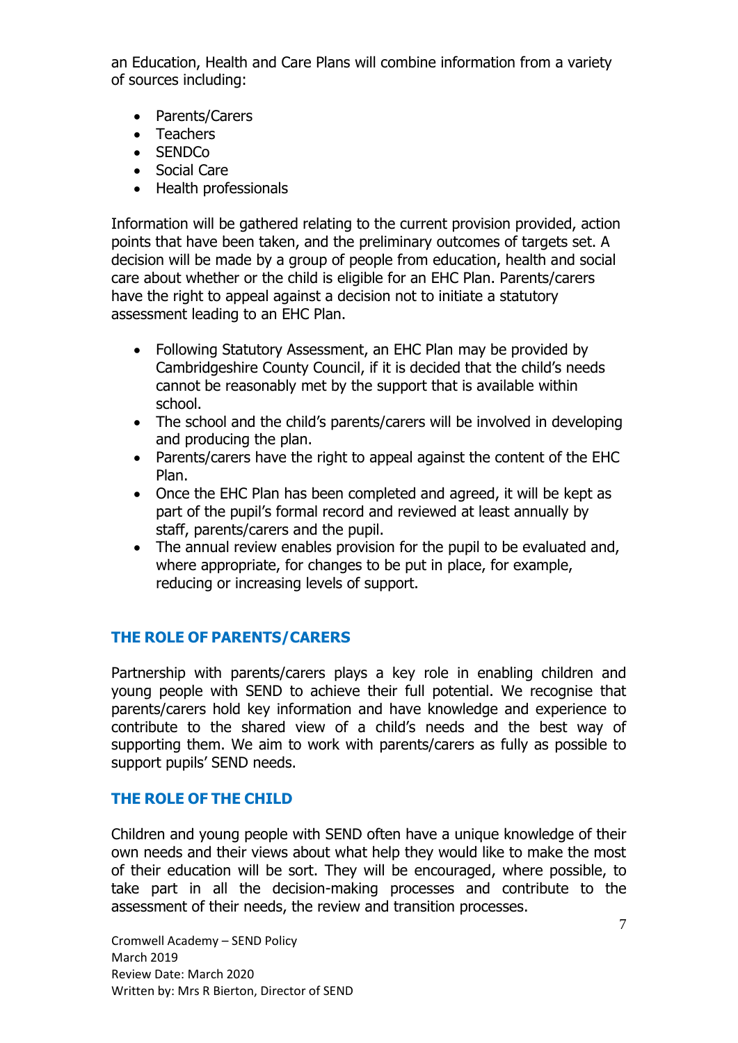an Education, Health and Care Plans will combine information from a variety of sources including:

- Parents/Carers
- Teachers
- SENDCo
- Social Care
- Health professionals

Information will be gathered relating to the current provision provided, action points that have been taken, and the preliminary outcomes of targets set. A decision will be made by a group of people from education, health and social care about whether or the child is eligible for an EHC Plan. Parents/carers have the right to appeal against a decision not to initiate a statutory assessment leading to an EHC Plan.

- Following Statutory Assessment, an EHC Plan may be provided by Cambridgeshire County Council, if it is decided that the child's needs cannot be reasonably met by the support that is available within school.
- The school and the child's parents/carers will be involved in developing and producing the plan.
- Parents/carers have the right to appeal against the content of the EHC Plan.
- Once the EHC Plan has been completed and agreed, it will be kept as part of the pupil's formal record and reviewed at least annually by staff, parents/carers and the pupil.
- The annual review enables provision for the pupil to be evaluated and, where appropriate, for changes to be put in place, for example, reducing or increasing levels of support.

### **THE ROLE OF PARENTS/CARERS**

Partnership with parents/carers plays a key role in enabling children and young people with SEND to achieve their full potential. We recognise that parents/carers hold key information and have knowledge and experience to contribute to the shared view of a child's needs and the best way of supporting them. We aim to work with parents/carers as fully as possible to support pupils' SEND needs.

### **THE ROLE OF THE CHILD**

Children and young people with SEND often have a unique knowledge of their own needs and their views about what help they would like to make the most of their education will be sort. They will be encouraged, where possible, to take part in all the decision-making processes and contribute to the assessment of their needs, the review and transition processes.

Cromwell Academy – SEND Policy March 2019 Review Date: March 2020 Written by: Mrs R Bierton, Director of SEND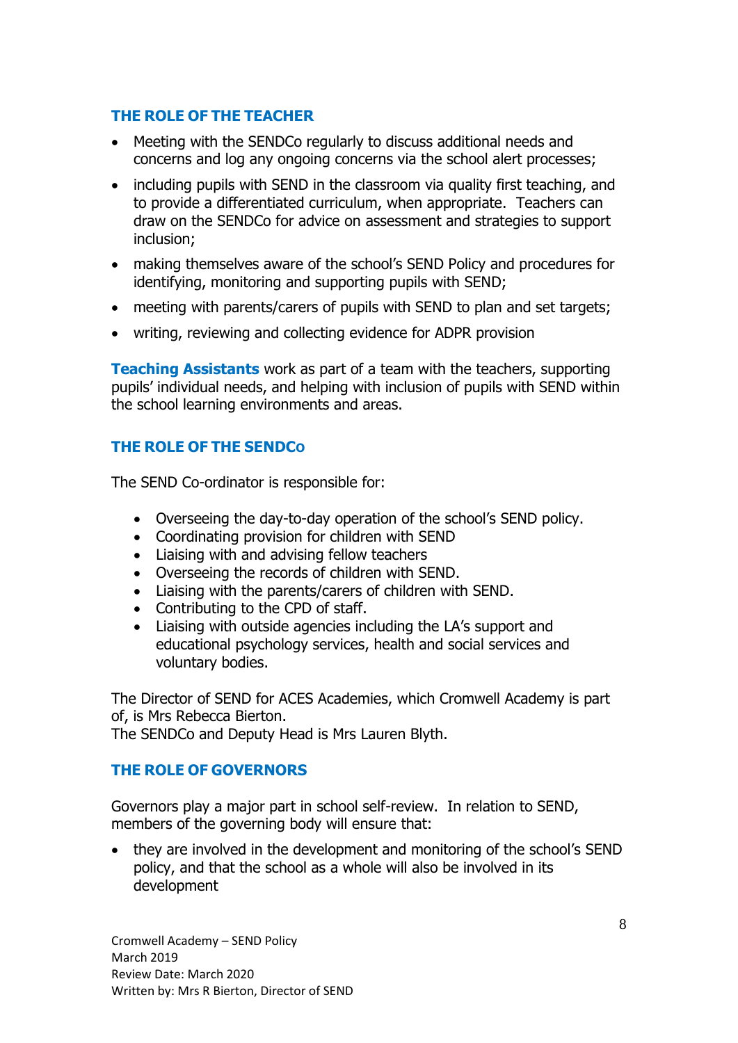## **THE ROLE OF THE TEACHER**

- Meeting with the SENDCo regularly to discuss additional needs and concerns and log any ongoing concerns via the school alert processes;
- including pupils with SEND in the classroom via quality first teaching, and to provide a differentiated curriculum, when appropriate. Teachers can draw on the SENDCo for advice on assessment and strategies to support inclusion;
- making themselves aware of the school's SEND Policy and procedures for identifying, monitoring and supporting pupils with SEND;
- meeting with parents/carers of pupils with SEND to plan and set targets;
- writing, reviewing and collecting evidence for ADPR provision

**Teaching Assistants** work as part of a team with the teachers, supporting pupils' individual needs, and helping with inclusion of pupils with SEND within the school learning environments and areas.

## **THE ROLE OF THE SENDCO**

The SEND Co-ordinator is responsible for:

- Overseeing the day-to-day operation of the school's SEND policy.
- Coordinating provision for children with SEND
- Liaising with and advising fellow teachers
- Overseeing the records of children with SEND.
- Liaising with the parents/carers of children with SEND.
- Contributing to the CPD of staff.
- Liaising with outside agencies including the LA's support and educational psychology services, health and social services and voluntary bodies.

The Director of SEND for ACES Academies, which Cromwell Academy is part of, is Mrs Rebecca Bierton.

The SENDCo and Deputy Head is Mrs Lauren Blyth.

## **THE ROLE OF GOVERNORS**

Governors play a major part in school self-review. In relation to SEND, members of the governing body will ensure that:

• they are involved in the development and monitoring of the school's SEND policy, and that the school as a whole will also be involved in its development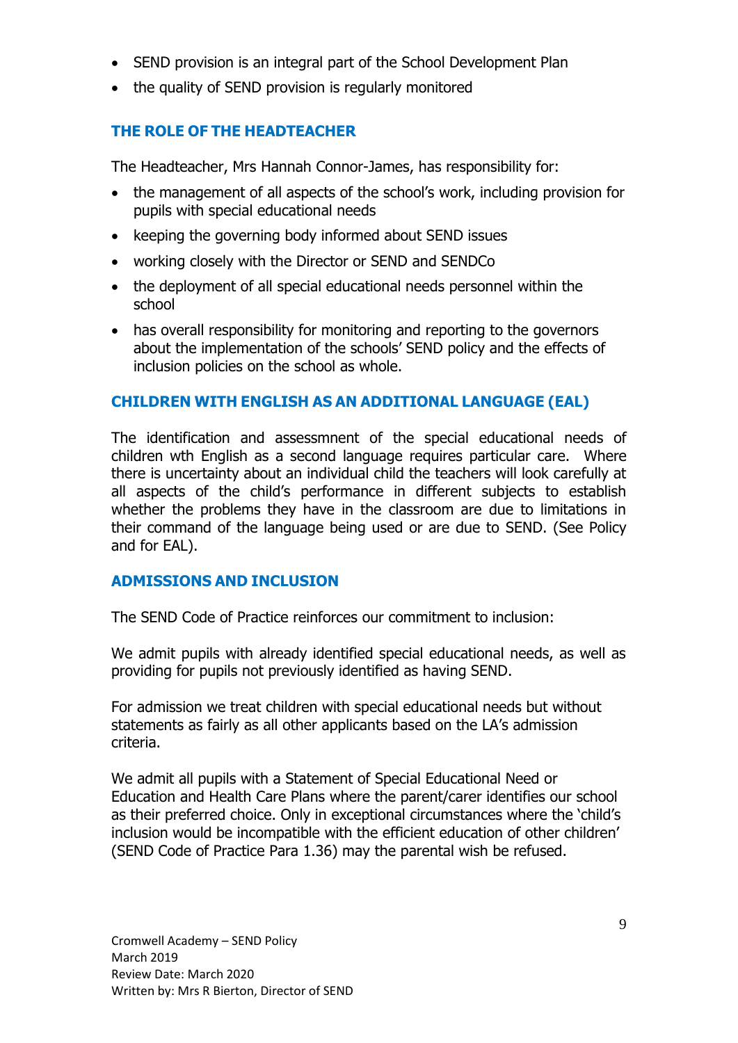- SEND provision is an integral part of the School Development Plan
- the quality of SEND provision is regularly monitored

## **THE ROLE OF THE HEADTEACHER**

The Headteacher, Mrs Hannah Connor-James, has responsibility for:

- the management of all aspects of the school's work, including provision for pupils with special educational needs
- keeping the governing body informed about SEND issues
- working closely with the Director or SEND and SENDCo
- the deployment of all special educational needs personnel within the school
- has overall responsibility for monitoring and reporting to the governors about the implementation of the schools' SEND policy and the effects of inclusion policies on the school as whole.

## **CHILDREN WITH ENGLISH AS AN ADDITIONAL LANGUAGE (EAL)**

The identification and assessmnent of the special educational needs of children wth English as a second language requires particular care. Where there is uncertainty about an individual child the teachers will look carefully at all aspects of the child's performance in different subjects to establish whether the problems they have in the classroom are due to limitations in their command of the language being used or are due to SEND. (See Policy and for EAL).

### **ADMISSIONS AND INCLUSION**

The SEND Code of Practice reinforces our commitment to inclusion:

We admit pupils with already identified special educational needs, as well as providing for pupils not previously identified as having SEND.

For admission we treat children with special educational needs but without statements as fairly as all other applicants based on the LA's admission criteria.

We admit all pupils with a Statement of Special Educational Need or Education and Health Care Plans where the parent/carer identifies our school as their preferred choice. Only in exceptional circumstances where the 'child's inclusion would be incompatible with the efficient education of other children' (SEND Code of Practice Para 1.36) may the parental wish be refused.